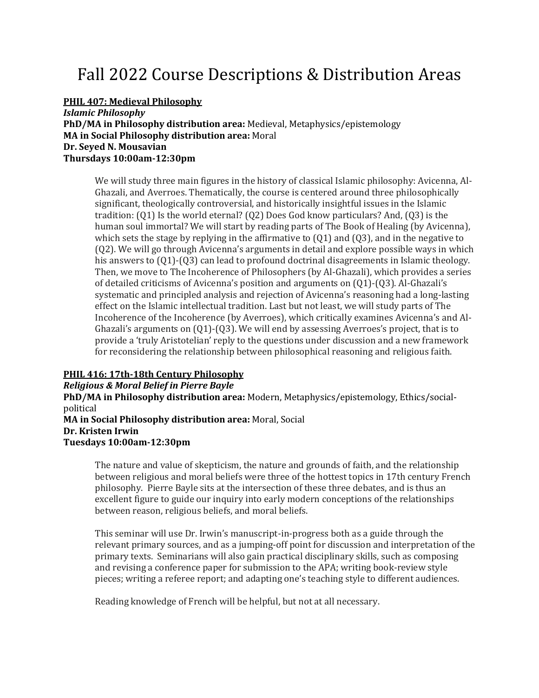# Fall 2022 Course Descriptions & Distribution Areas

**PHIL 407: Medieval Philosophy**

*Islamic Philosophy*  **PhD/MA in Philosophy distribution area:** Medieval, Metaphysics/epistemology **MA in Social Philosophy distribution area:** Moral **Dr. Seyed N. Mousavian Thursdays 10:00am-12:30pm**

We will study three main figures in the history of classical Islamic philosophy: Avicenna, Al-Ghazali, and Averroes. Thematically, the course is centered around three philosophically significant, theologically controversial, and historically insightful issues in the Islamic tradition: (Q1) Is the world eternal? (Q2) Does God know particulars? And, (Q3) is the human soul immortal? We will start by reading parts of The Book of Healing (by Avicenna), which sets the stage by replying in the affirmative to  $(Q1)$  and  $(Q3)$ , and in the negative to (Q2). We will go through Avicenna's arguments in detail and explore possible ways in which his answers to  $(01)-(03)$  can lead to profound doctrinal disagreements in Islamic theology. Then, we move to The Incoherence of Philosophers (by Al-Ghazali), which provides a series of detailed criticisms of Avicenna's position and arguments on (Q1)-(Q3). Al-Ghazali's systematic and principled analysis and rejection of Avicenna's reasoning had a long-lasting effect on the Islamic intellectual tradition. Last but not least, we will study parts of The Incoherence of the Incoherence (by Averroes), which critically examines Avicenna's and Al-Ghazali's arguments on (Q1)-(Q3). We will end by assessing Averroes's project, that is to provide a 'truly Aristotelian' reply to the questions under discussion and a new framework for reconsidering the relationship between philosophical reasoning and religious faith.

# **PHIL 416: 17th-18th Century Philosophy**

*Religious & Moral Belief in Pierre Bayle*  **PhD/MA in Philosophy distribution area:** Modern, Metaphysics/epistemology, Ethics/socialpolitical **MA in Social Philosophy distribution area:** Moral, Social **Dr. Kristen Irwin Tuesdays 10:00am-12:30pm**

The nature and value of skepticism, the nature and grounds of faith, and the relationship between religious and moral beliefs were three of the hottest topics in 17th century French philosophy. Pierre Bayle sits at the intersection of these three debates, and is thus an excellent figure to guide our inquiry into early modern conceptions of the relationships between reason, religious beliefs, and moral beliefs.

This seminar will use Dr. Irwin's manuscript-in-progress both as a guide through the relevant primary sources, and as a jumping-off point for discussion and interpretation of the primary texts. Seminarians will also gain practical disciplinary skills, such as composing and revising a conference paper for submission to the APA; writing book-review style pieces; writing a referee report; and adapting one's teaching style to different audiences.

Reading knowledge of French will be helpful, but not at all necessary.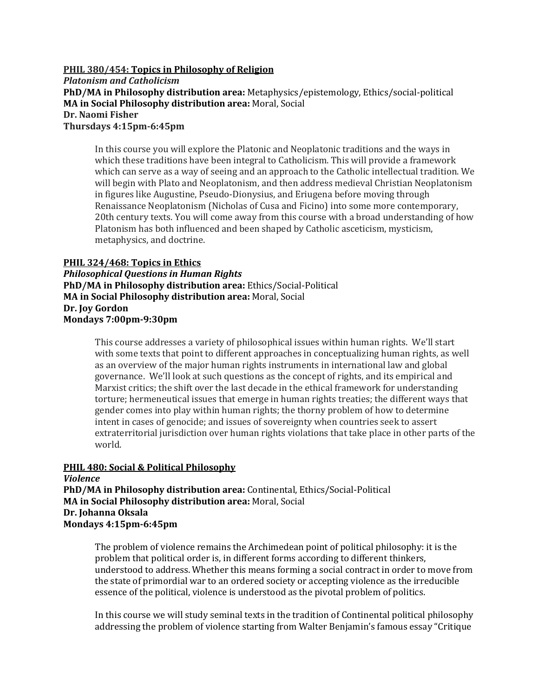### **PHIL 380/454: Topics in Philosophy of Religion**

*Platonism and Catholicism* **PhD/MA in Philosophy distribution area:** Metaphysics/epistemology, Ethics/social-political **MA in Social Philosophy distribution area:** Moral, Social **Dr. Naomi Fisher Thursdays 4:15pm-6:45pm**

In this course you will explore the Platonic and Neoplatonic traditions and the ways in which these traditions have been integral to Catholicism. This will provide a framework which can serve as a way of seeing and an approach to the Catholic intellectual tradition. We will begin with Plato and Neoplatonism, and then address medieval Christian Neoplatonism in figures like Augustine, Pseudo-Dionysius, and Eriugena before moving through Renaissance Neoplatonism (Nicholas of Cusa and Ficino) into some more contemporary, 20th century texts. You will come away from this course with a broad understanding of how Platonism has both influenced and been shaped by Catholic asceticism, mysticism, metaphysics, and doctrine.

### **PHIL 324/468: Topics in Ethics**

*Philosophical Questions in Human Rights*  **PhD/MA in Philosophy distribution area:** Ethics/Social-Political **MA in Social Philosophy distribution area:** Moral, Social **Dr. Joy Gordon Mondays 7:00pm-9:30pm**

> This course addresses a variety of philosophical issues within human rights. We'll start with some texts that point to different approaches in conceptualizing human rights, as well as an overview of the major human rights instruments in international law and global governance. We'll look at such questions as the concept of rights, and its empirical and Marxist critics; the shift over the last decade in the ethical framework for understanding torture; hermeneutical issues that emerge in human rights treaties; the different ways that gender comes into play within human rights; the thorny problem of how to determine intent in cases of genocide; and issues of sovereignty when countries seek to assert extraterritorial jurisdiction over human rights violations that take place in other parts of the world.

# **PHIL 480: Social & Political Philosophy**

*Violence*  **PhD/MA in Philosophy distribution area:** Continental, Ethics/Social-Political **MA in Social Philosophy distribution area:** Moral, Social **Dr. Johanna Oksala Mondays 4:15pm-6:45pm**

The problem of violence remains the Archimedean point of political philosophy: it is the problem that political order is, in different forms according to different thinkers, understood to address. Whether this means forming a social contract in order to move from the state of primordial war to an ordered society or accepting violence as the irreducible essence of the political, violence is understood as the pivotal problem of politics.

In this course we will study seminal texts in the tradition of Continental political philosophy addressing the problem of violence starting from Walter Benjamin's famous essay "Critique